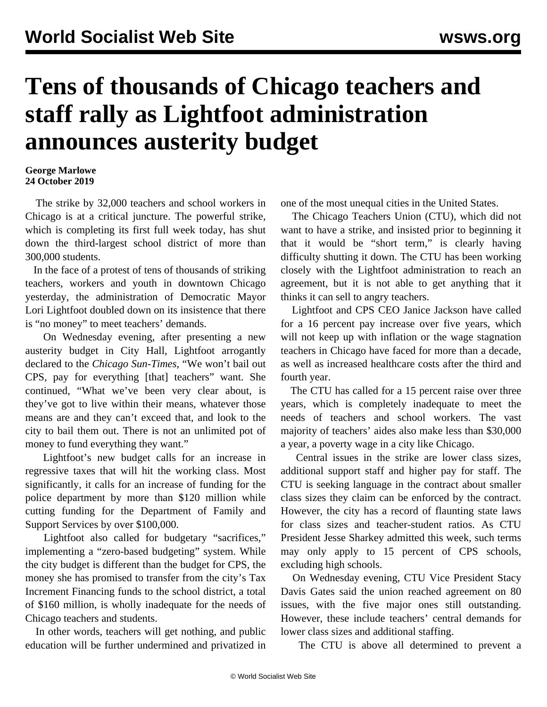## **Tens of thousands of Chicago teachers and staff rally as Lightfoot administration announces austerity budget**

## **George Marlowe 24 October 2019**

 The strike by 32,000 teachers and school workers in Chicago is at a critical juncture. The powerful strike, which is completing its first full week today, has shut down the third-largest school district of more than 300,000 students.

 In the face of a protest of tens of thousands of striking teachers, workers and youth in downtown Chicago yesterday, the administration of Democratic Mayor Lori Lightfoot doubled down on its insistence that there is "no money" to meet teachers' demands.

 On Wednesday evening, after presenting a new austerity budget in City Hall, Lightfoot arrogantly declared to the *Chicago Sun-Times*, "We won't bail out CPS, pay for everything [that] teachers" want. She continued, "What we've been very clear about, is they've got to live within their means, whatever those means are and they can't exceed that, and look to the city to bail them out. There is not an unlimited pot of money to fund everything they want."

 Lightfoot's new budget calls for an increase in regressive taxes that will hit the working class. Most significantly, it calls for an increase of funding for the police department by more than \$120 million while cutting funding for the Department of Family and Support Services by over \$100,000.

 Lightfoot also called for budgetary "sacrifices," implementing a "zero-based budgeting" system. While the city budget is different than the budget for CPS, the money she has promised to transfer from the city's Tax Increment Financing funds to the school district, a total of \$160 million, is wholly inadequate for the needs of Chicago teachers and students.

 In other words, teachers will get nothing, and public education will be further undermined and privatized in one of the most unequal cities in the United States.

 The Chicago Teachers Union (CTU), which did not want to have a strike, and insisted prior to beginning it that it would be "short term," is clearly having difficulty shutting it down. The CTU has been working closely with the Lightfoot administration to reach an agreement, but it is not able to get anything that it thinks it can sell to angry teachers.

 Lightfoot and CPS CEO Janice Jackson have called for a 16 percent pay increase over five years, which will not keep up with inflation or the wage stagnation teachers in Chicago have faced for more than a decade, as well as increased healthcare costs after the third and fourth year.

 The CTU has called for a 15 percent raise over three years, which is completely inadequate to meet the needs of teachers and school workers. The vast majority of teachers' aides also make less than \$30,000 a year, a poverty wage in a city like Chicago.

 Central issues in the strike are lower class sizes, additional support staff and higher pay for staff. The CTU is seeking language in the contract about smaller class sizes they claim can be enforced by the contract. However, the city has a record of flaunting state laws for class sizes and teacher-student ratios. As CTU President Jesse Sharkey admitted this week, such terms may only apply to 15 percent of CPS schools, excluding high schools.

 On Wednesday evening, CTU Vice President Stacy Davis Gates said the union reached agreement on 80 issues, with the five major ones still outstanding. However, these include teachers' central demands for lower class sizes and additional staffing.

The CTU is above all determined to prevent a